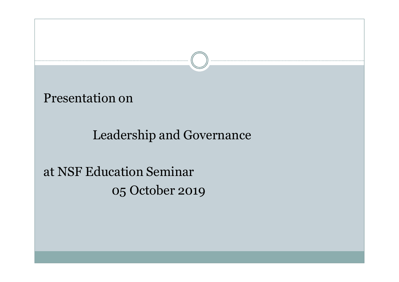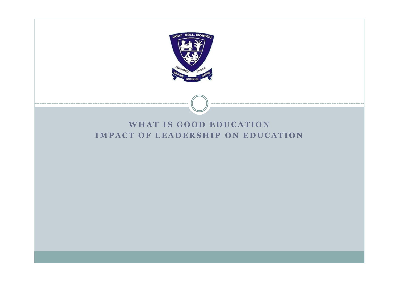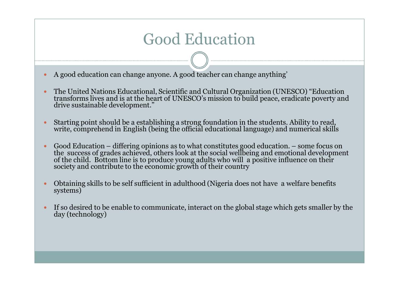#### Good Education

- A good education can change anyone. A good teacher can change anything'
- ó The United Nations Educational, Scientific and Cultural Organization (UNESCO) "Education transforms lives and is at the heart of UNESCO's mission to build peace, eradicate poverty and drive sustainable development."
- <sup>ó</sup> Starting point should be a establishing a strong foundation in the students. Ability to read, write, comprehend in English (being the official educational language) and numerical skills
- ó Good Education differing opinions as to what constitutes good education. some focus on the success of grades achieved, others look at the social wellbeing and emotional development of the child. Bottom line is to produce young adults who will a positive influence on their society and contribute to the economic growth of their country
- <sup>ó</sup> Obtaining skills to be self sufficient in adulthood (Nigeria does not have a welfare benefits systems)
- <sup>ó</sup> If so desired to be enable to communicate, interact on the global stage which gets smaller by the day (technology)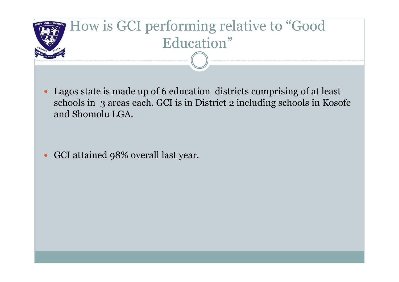

ó Lagos state is made up of 6 education districts comprising of at least schools in 3 areas each. GCI is in District 2 including schools in Kosofe and Shomolu LGA.

ó GCI attained 98% overall last year.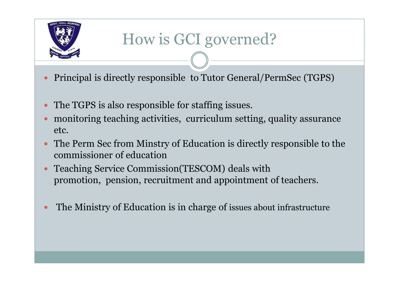

# How is GCI governed?

- ó Principal is directly responsible to Tutor General/PermSec (TGPS)
- ó The TGPS is also responsible for staffing issues.
- ó monitoring teaching activities, curriculum setting, quality assurance etc.
- ó The Perm Sec from Minstry of Education is directly responsible to the commissioner of education
- Teaching Service Commission(TESCOM) deals with promotion, pension, recruitment and appointment of teachers.
- The Ministry of Education is in charge of issues about infrastructure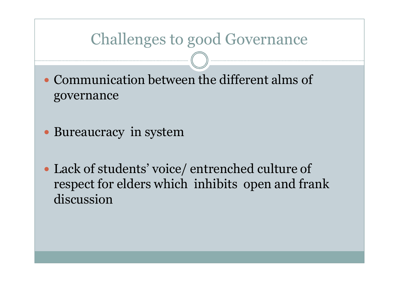#### **Challenges to good Governance**

• Communication between the different alms of governance

- Bureaucracy in system
- Lack of students' voice/entrenched culture of respect for elders which inhibits open and frank discussion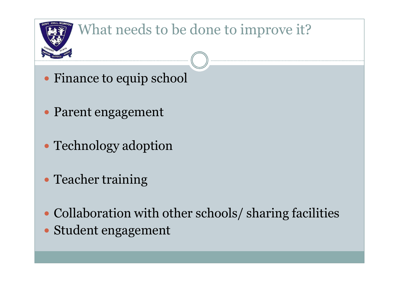

### What needs to be done to improve it?

- ó Finance to equip school
- ó Parent engagement
- Technology adoption
- Teacher training
- Collaboration with other schools/ sharing facilities
- ó Student engagement